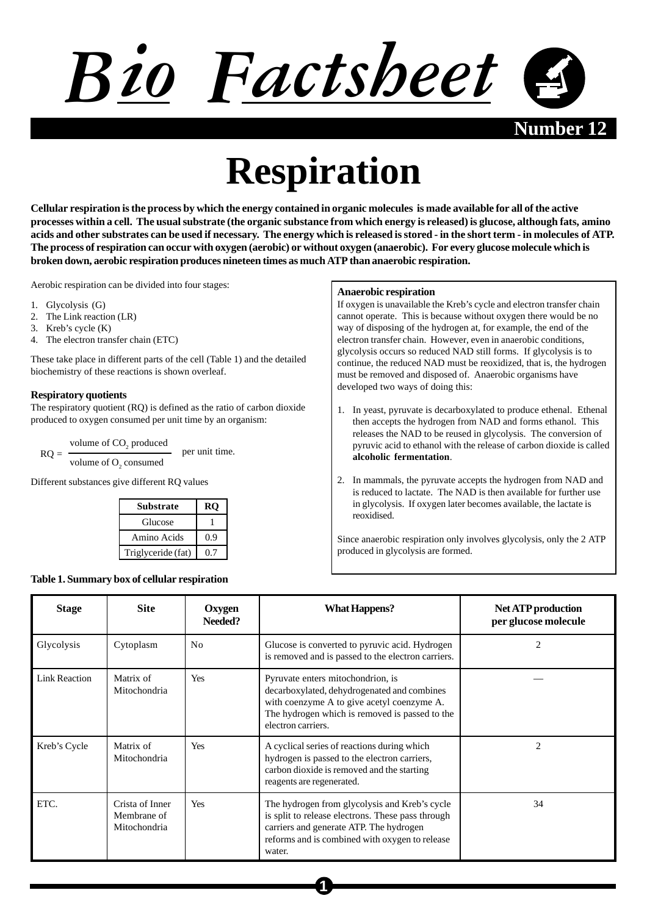

**Number** 12

# **Respiration**

**Cellular respiration is the process by which the energy contained in organic molecules is made available for all of the active processes within a cell. The usual substrate (the organic substance from which energy is released) is glucose, although fats, amino acids and other substrates can be used if necessary. The energy which is released is stored - in the short term - in molecules of ATP. The process of respiration can occur with oxygen (aerobic) or without oxygen (anaerobic). For every glucose molecule which is broken down, aerobic respiration produces nineteen times as much ATP than anaerobic respiration.**

Aerobic respiration can be divided into four stages:

- 1. Glycolysis (G)
- 2. The Link reaction (LR)
- 3. Kreb's cycle (K)
- 4. The electron transfer chain (ETC)

These take place in different parts of the cell (Table 1) and the detailed biochemistry of these reactions is shown overleaf.

## **Respiratory quotients**

The respiratory quotient (RQ) is defined as the ratio of carbon dioxide produced to oxygen consumed per unit time by an organism:

volume of CO<sub>2</sub> produced volume of O<sub>2</sub> consumed  $RO = \frac{PQ}{PQ}$  per unit time.

Different substances give different RQ values

| Substrate          | RO    |
|--------------------|-------|
| Glucose            |       |
| Amino Acids        | (0.9) |
| Triglyceride (fat) | በ 7   |

## **Table 1. Summary box of cellular respiration**

#### **Anaerobic respiration**

If oxygen is unavailable the Kreb's cycle and electron transfer chain cannot operate. This is because without oxygen there would be no way of disposing of the hydrogen at, for example, the end of the electron transfer chain. However, even in anaerobic conditions, glycolysis occurs so reduced NAD still forms. If glycolysis is to continue, the reduced NAD must be reoxidized, that is, the hydrogen must be removed and disposed of. Anaerobic organisms have developed two ways of doing this:

- 1. In yeast, pyruvate is decarboxylated to produce ethenal. Ethenal then accepts the hydrogen from NAD and forms ethanol. This releases the NAD to be reused in glycolysis. The conversion of pyruvic acid to ethanol with the release of carbon dioxide is called **alcoholic fermentation**.
- 2. In mammals, the pyruvate accepts the hydrogen from NAD and is reduced to lactate. The NAD is then available for further use in glycolysis. If oxygen later becomes available, the lactate is reoxidised.

Since anaerobic respiration only involves glycolysis, only the 2 ATP produced in glycolysis are formed.

| <b>Stage</b>         | <b>Site</b>                                    | Oxygen<br>Needed? | <b>What Happens?</b>                                                                                                                                                                                      | <b>Net ATP production</b><br>per glucose molecule |
|----------------------|------------------------------------------------|-------------------|-----------------------------------------------------------------------------------------------------------------------------------------------------------------------------------------------------------|---------------------------------------------------|
| Glycolysis           | Cytoplasm                                      | N <sub>0</sub>    | Glucose is converted to pyruvic acid. Hydrogen<br>is removed and is passed to the electron carriers.                                                                                                      | 2                                                 |
| <b>Link Reaction</b> | Matrix of<br>Mitochondria                      | Yes               | Pyruvate enters mitochondrion, is<br>decarboxylated, dehydrogenated and combines<br>with coenzyme A to give acetyl coenzyme A.<br>The hydrogen which is removed is passed to the<br>electron carriers.    |                                                   |
| Kreb's Cycle         | Matrix of<br>Mitochondria                      | Yes               | A cyclical series of reactions during which<br>hydrogen is passed to the electron carriers,<br>carbon dioxide is removed and the starting<br>reagents are regenerated.                                    | $\overline{c}$                                    |
| ETC.                 | Crista of Inner<br>Membrane of<br>Mitochondria | Yes               | The hydrogen from glycolysis and Kreb's cycle<br>is split to release electrons. These pass through<br>carriers and generate ATP. The hydrogen<br>reforms and is combined with oxygen to release<br>water. | 34                                                |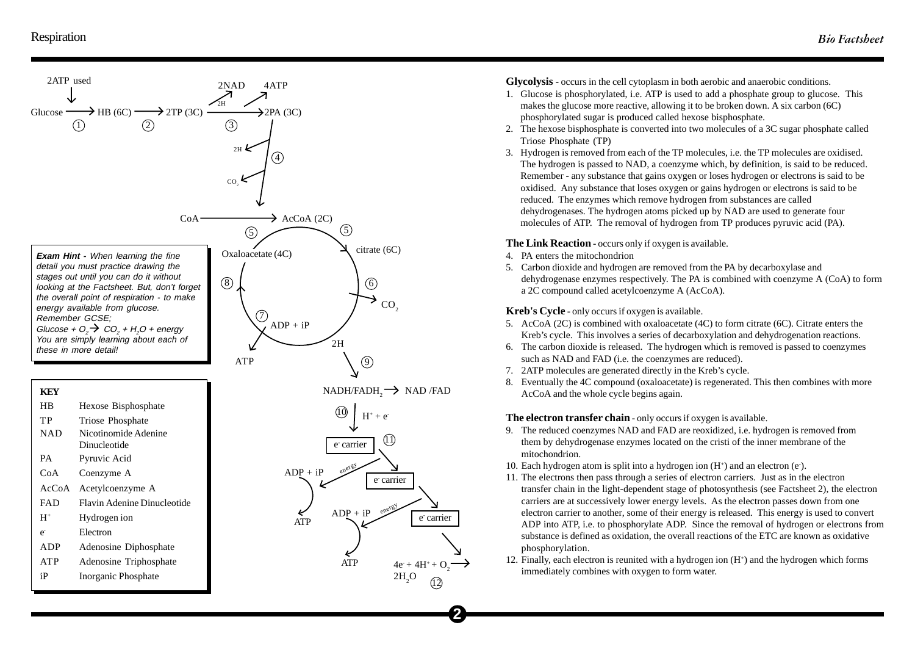

**Glycolysis** - occurs in the cell cytoplasm in both aerobic and anaerobic conditions.

- 1. Glucose is phosphorylated, i.e. ATP is used to add a phosphate group to glucose. This makes the glucose more reactive, allowing it to be broken down. A six carbon (6C) phosphorylated sugar is produced called hexose bisphosphate.
- 2. The hexose bisphosphate is converted into two molecules of a 3C sugar phosphate called Triose Phosphate (TP)
- 3. Hydrogen is removed from each of the TP molecules, i.e. the TP molecules are oxidised. The hydrogen is passed to NAD, a coenzyme which, by definition, is said to be reduced. Remember - any substance that gains oxygen or loses hydrogen or electrons is said to be oxidised. Any substance that loses oxygen or gains hydrogen or electrons is said to be reduced. The enzymes which remove hydrogen from substances are called dehydrogenases. The hydrogen atoms picked up by NAD are used to generate four molecules of ATP. The removal of hydrogen from TP produces pyruvic acid (PA).

# **The Link Reaction** - occurs only if oxygen is available.

4. PA enters the mitochondrion

**2**

12

5. Carbon dioxide and hydrogen are removed from the PA by decarboxylase and dehydrogenase enzymes respectively. The PA is combined with coenzyme A (CoA) to form a 2C compound called acetylcoenzyme A (AcCoA).

**Kreb's Cycle** - only occurs if oxygen is available.

- 5. AcCoA (2C) is combined with oxaloacetate (4C) to form citrate (6C). Citrate enters the Kreb's cycle. This involves a series of decarboxylation and dehydrogenation reactions.
- 6. The carbon dioxide is released. The hydrogen which is removed is passed to coenzymes such as NAD and FAD (i.e. the coenzymes are reduced).
- 7. 2ATP molecules are generated directly in the Kreb's cycle.
- 8. Eventually the 4C compound (oxaloacetate) is regenerated. This then combines with more AcCoA and the whole cycle begins again.

# **The electron transfer chain** - only occurs if oxygen is available.

- 9. The reduced coenzymes NAD and FAD are reoxidized, i.e. hydrogen is removed from them by dehydrogenase enzymes located on the cristi of the inner membrane of the mitochondrion.
- 10. Each hydrogen atom is split into a hydrogen ion  $(H<sup>+</sup>)$  and an electron (e).
- 11. The electrons then pass through a series of electron carriers. Just as in the electron transfer chain in the light-dependent stage of photosynthesis (see Factsheet 2), the electron carriers are at successively lower energy levels. As the electron passes down from one electron carrier to another, some of their energy is released. This energy is used to convert ADP into ATP, i.e. to phosphorylate ADP. Since the removal of hydrogen or electrons from substance is defined as oxidation, the overall reactions of the ETC are known as oxidative phosphorylation.
- 12. Finally, each electron is reunited with a hydrogen ion  $(H<sup>+</sup>)$  and the hydrogen which forms immediately combines with oxygen to form water.